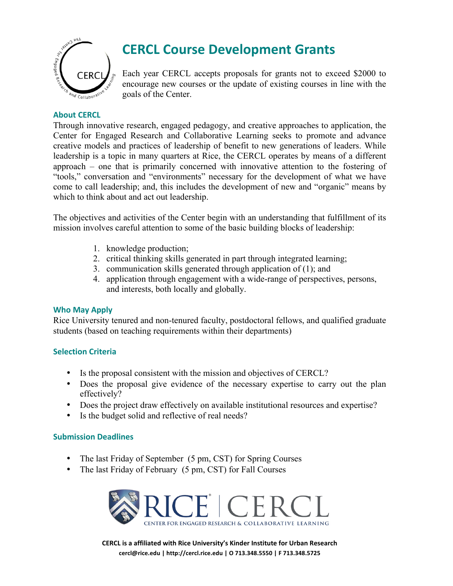

## **CERCL Course Development Grants**

Each year CERCL accepts proposals for grants not to exceed \$2000 to encourage new courses or the update of existing courses in line with the goals of the Center.

### **About CERCL**

Through innovative research, engaged pedagogy, and creative approaches to application, the Center for Engaged Research and Collaborative Learning seeks to promote and advance creative models and practices of leadership of benefit to new generations of leaders. While leadership is a topic in many quarters at Rice, the CERCL operates by means of a different approach – one that is primarily concerned with innovative attention to the fostering of "tools," conversation and "environments" necessary for the development of what we have come to call leadership; and, this includes the development of new and "organic" means by which to think about and act out leadership.

The objectives and activities of the Center begin with an understanding that fulfillment of its mission involves careful attention to some of the basic building blocks of leadership:

- 1. knowledge production;
- 2. critical thinking skills generated in part through integrated learning;
- 3. communication skills generated through application of (1); and
- 4. application through engagement with a wide-range of perspectives, persons, and interests, both locally and globally.

#### **Who May Apply**

Rice University tenured and non-tenured faculty, postdoctoral fellows, and qualified graduate students (based on teaching requirements within their departments)

### **Selection Criteria**

- Is the proposal consistent with the mission and objectives of CERCL?
- Does the proposal give evidence of the necessary expertise to carry out the plan effectively?
- Does the project draw effectively on available institutional resources and expertise?
- Is the budget solid and reflective of real needs?

#### **Submission Deadlines**

- The last Friday of September (5 pm, CST) for Spring Courses
- The last Friday of February (5 pm, CST) for Fall Courses



**CERCL is a affiliated with Rice University's Kinder Institute for Urban Research** cercl@rice.edu | http://cercl.rice.edu | O 713.348.5550 | F 713.348.5725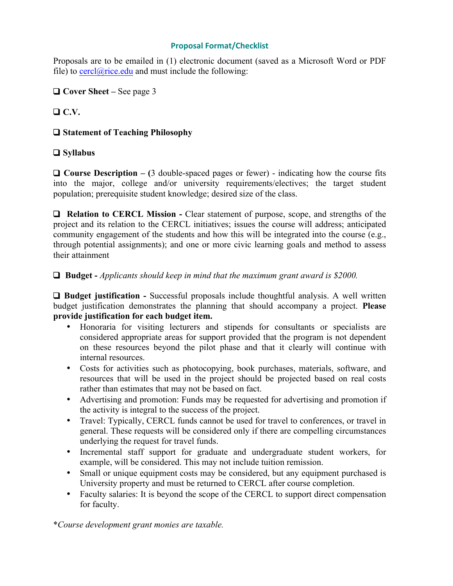#### **Proposal!Format/Checklist**

Proposals are to be emailed in (1) electronic document (saved as a Microsoft Word or PDF file) to cercl $\omega$ rice.edu and must include the following:

❑ **Cover Sheet –** See page 3

## ❑ **C.V.**

## ❑ **Statement of Teaching Philosophy**

## ❑ **Syllabus**

❑ **Course Description – (**3 double-spaced pages or fewer) - indicating how the course fits into the major, college and/or university requirements/electives; the target student population; prerequisite student knowledge; desired size of the class.

❑ **Relation to CERCL Mission -** Clear statement of purpose, scope, and strengths of the project and its relation to the CERCL initiatives; issues the course will address; anticipated community engagement of the students and how this will be integrated into the course (e.g., through potential assignments); and one or more civic learning goals and method to assess their attainment

## ❑ **Budget -** *Applicants should keep in mind that the maximum grant award is \$2000.*

❑ **Budget justification -** Successful proposals include thoughtful analysis. A well written budget justification demonstrates the planning that should accompany a project. **Please provide justification for each budget item.** 

- Honoraria for visiting lecturers and stipends for consultants or specialists are considered appropriate areas for support provided that the program is not dependent on these resources beyond the pilot phase and that it clearly will continue with internal resources.
- Costs for activities such as photocopying, book purchases, materials, software, and resources that will be used in the project should be projected based on real costs rather than estimates that may not be based on fact.
- Advertising and promotion: Funds may be requested for advertising and promotion if the activity is integral to the success of the project.
- Travel: Typically, CERCL funds cannot be used for travel to conferences, or travel in general. These requests will be considered only if there are compelling circumstances underlying the request for travel funds.
- Incremental staff support for graduate and undergraduate student workers, for example, will be considered. This may not include tuition remission.
- Small or unique equipment costs may be considered, but any equipment purchased is University property and must be returned to CERCL after course completion.
- Faculty salaries: It is beyond the scope of the CERCL to support direct compensation for faculty.

\**Course development grant monies are taxable.*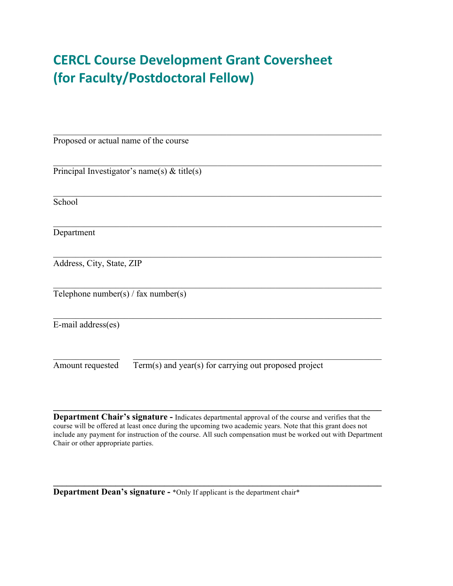## **CERCL\$Course Development\*Grant Coversheet (for%Faculty/Postdoctoral'Fellow)**

| Proposed or actual name of the course                                     |
|---------------------------------------------------------------------------|
| Principal Investigator's name(s) $&$ title(s)                             |
| School                                                                    |
| Department                                                                |
| Address, City, State, ZIP                                                 |
| Telephone number(s) / fax number(s)                                       |
| E-mail address(es)                                                        |
| Term(s) and year(s) for carrying out proposed project<br>Amount requested |

**Department Chair's signature -** Indicates departmental approval of the course and verifies that the course will be offered at least once during the upcoming two academic years. Note that this grant does not include any payment for instruction of the course. All such compensation must be worked out with Department Chair or other appropriate parties.

 $\mathcal{L} = \{ \mathcal{L} \mathcal{L} \mathcal{L} \mathcal{L} \mathcal{L} \mathcal{L} \mathcal{L} \mathcal{L} \mathcal{L} \mathcal{L} \mathcal{L} \mathcal{L} \mathcal{L} \mathcal{L} \mathcal{L} \mathcal{L} \mathcal{L} \mathcal{L} \mathcal{L} \mathcal{L} \mathcal{L} \mathcal{L} \mathcal{L} \mathcal{L} \mathcal{L} \mathcal{L} \mathcal{L} \mathcal{L} \mathcal{L} \mathcal{L} \mathcal{L} \mathcal{L} \mathcal{L} \mathcal{L} \mathcal{L} \$ 

 $\mathcal{L}_\mathcal{L} = \{ \mathcal{L}_\mathcal{L} = \{ \mathcal{L}_\mathcal{L} = \{ \mathcal{L}_\mathcal{L} = \{ \mathcal{L}_\mathcal{L} = \{ \mathcal{L}_\mathcal{L} = \{ \mathcal{L}_\mathcal{L} = \{ \mathcal{L}_\mathcal{L} = \{ \mathcal{L}_\mathcal{L} = \{ \mathcal{L}_\mathcal{L} = \{ \mathcal{L}_\mathcal{L} = \{ \mathcal{L}_\mathcal{L} = \{ \mathcal{L}_\mathcal{L} = \{ \mathcal{L}_\mathcal{L} = \{ \mathcal{L}_\mathcal{$ 

**Department Dean's signature -** \*Only If applicant is the department chair\*